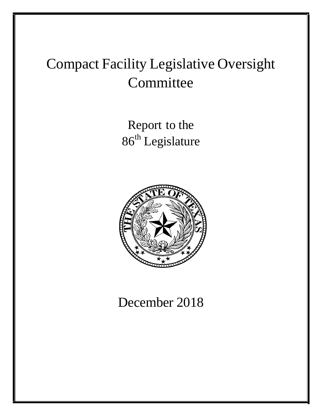# Compact Facility Legislative Oversight **Committee**

Report to the 86<sup>th</sup> Legislature



December 2018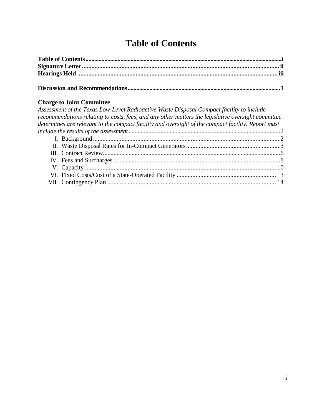# **Table of Contents**

<span id="page-1-0"></span>

#### **Charge to Joint Committee**

| Assessment of the Texas Low-Level Radioactive Waste Disposal Compact facility to include<br>recommendations relating to costs, fees, and any other matters the legislative oversight committee |  |
|------------------------------------------------------------------------------------------------------------------------------------------------------------------------------------------------|--|
| determines are relevant to the compact facility and oversight of the compact facility. Report must                                                                                             |  |
|                                                                                                                                                                                                |  |
|                                                                                                                                                                                                |  |
|                                                                                                                                                                                                |  |
|                                                                                                                                                                                                |  |
|                                                                                                                                                                                                |  |
|                                                                                                                                                                                                |  |
|                                                                                                                                                                                                |  |
|                                                                                                                                                                                                |  |
|                                                                                                                                                                                                |  |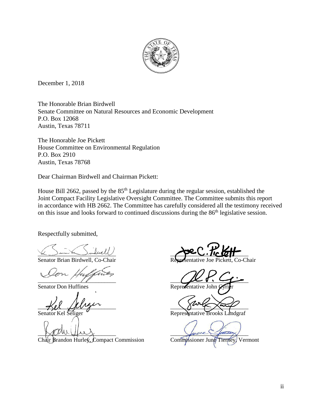

December 1, 2018

The Honorable Brian Birdwell Senate Committee on Natural Resources and Economic Development P.O. Box 12068 Austin, Texas 78711

The Honorable Joe Pickett House Committee on Environmental Regulation P.O. Box 2910 Austin, Texas 78768

Dear Chairman Birdwell and Chairman Pickett:

House Bill 2662, passed by the 85<sup>th</sup> Legislature during the regular session, established the Joint Compact Facility Legislative Oversight Committee. The Committee submits this report in accordance with HB 2662. The Committee has carefully considered all the testimony received on this issue and looks forward to continued discussions during the 86<sup>th</sup> legislative session.

Respectfully submitted,

Senator Brian Birdwell, Co-Chair Representative Joe Pickett, Co-Chair

Senator Don Huffines Representative John

Senator Kel Seliger  $\mathcal{L}$  and  $\mathcal{L}$  Representative Brooks

 $\bigwedge_1 \cup \cup \bigcup_2 \cup \bigwedge_3$ 

 $\mathbb{Z}$  and  $\mathbb{Z}$  and  $\mathbb{Z}$  and  $\mathbb{Z}$  and  $\mathbb{Z}$  and  $\mathbb{Z}$  are  $\mathbb{Z}$  and  $\mathbb{Z}$  and  $\mathbb{Z}$  are  $\mathbb{Z}$  and  $\mathbb{Z}$  and  $\mathbb{Z}$  are  $\mathbb{Z}$  and  $\mathbb{Z}$  and  $\mathbb{Z}$  are  $\mathbb{Z}$  and  $\mathbb{Z}$  and

 $\mu$  ,  $\mu$  ,  $\mu$  ,  $\mu$ 

 $Z$ il  $\mu\nu\gamma$ 

Chair Brandon Hurley, Compact Commission Commissioner June Tierney, Vermont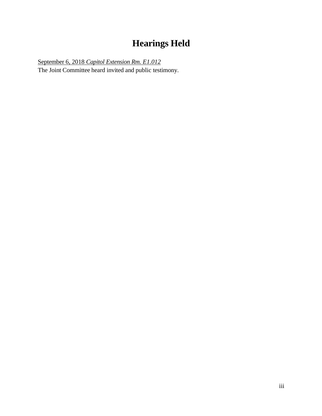# **Hearings Held**

<span id="page-3-0"></span>September 6, 2018 *Capitol Extension Rm. E1.012* The Joint Committee heard invited and public testimony.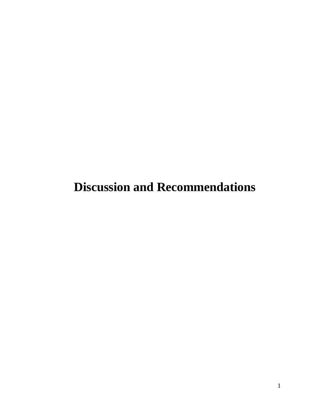**Discussion and Recommendations**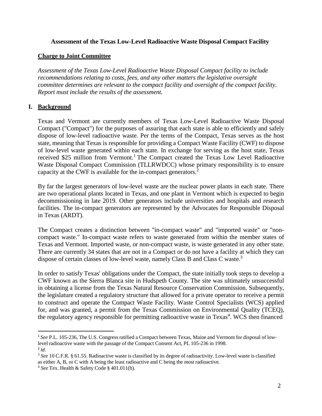#### **Assessment of the Texas Low-Level Radioactive Waste Disposal Compact Facility**

#### <span id="page-5-0"></span>**Charge to Joint Committee**

*Assessment of the Texas Low-Level Radioactive Waste Disposal Compact facility to include recommendations relating to costs, fees, and any other matters the legislative oversight committee determines are relevant to the compact facility and oversight of the compact facility. Report must include the results of the assessment.*

# <span id="page-5-1"></span>**I. Background**

Texas and Vermont are currently members of Texas Low-Level Radioactive Waste Disposal Compact ("Compact") for the purposes of assuring that each state is able to efficiently and safely dispose of low-level radioactive waste. Per the terms of the Compact, Texas serves as the host state, meaning that Texas is responsible for providing a Compact Waste Facility (CWF) to dispose of low-level waste generated within each state. In exchange for serving as the host state, Texas received \$25 million from Vermont.<sup>[1](#page-5-2)</sup> The Compact created the Texas Low Level Radioactive Waste Disposal Compact Commission (TLLRWDCC) whose primary responsibility is to ensure capacity at the CWF is available for the in-compact generators.<sup>[2](#page-5-3)</sup>

By far the largest generators of low-level waste are the nuclear power plants in each state. There are two operational plants located in Texas, and one plant in Vermont which is expected to begin decommissioning in late 2019. Other generators include universities and hospitals and research facilities. The in-compact generators are represented by the Advocates for Responsible Disposal in Texas (ARDT).

The Compact creates a distinction between "in-compact waste" and "imported waste" or "noncompact waste." In-compact waste refers to waste generated from within the member states of Texas and Vermont. Imported waste, or non-compact waste, is waste generated in any other state. There are currently 34 states that are not in a Compact or do not have a facility at which they can dispose of certain classes of low-level waste, namely Class B and Class C waste.<sup>[3](#page-5-4)</sup>

In order to satisfy Texas' obligations under the Compact, the state initially took steps to develop a CWF known as the Sierra Blanca site in Hudspeth County. The site was ultimately unsuccessful in obtaining a license from the Texas Natural Resource Conservation Commission. Subsequently, the legislature created a regulatory structure that allowed for a private operator to receive a permit to construct and operate the Compact Waste Facility. Waste Control Specialists (WCS) applied for, and was granted, a permit from the Texas Commission on Environmental Quality (TCEQ), the regulatory agency responsible for permitting radioactive waste in Texas<sup>[4](#page-5-5)</sup>. WCS then financed

<span id="page-5-2"></span><sup>1</sup> *See* P.L. 105-236, The U.S. Congress ratified a Compact between Texas, Maine and Vermont for disposal of lowlevel radioactive waste with the passage of the Compact Consent Act, PL 105-236 in 1998. 2 *Id*.

<span id="page-5-4"></span><span id="page-5-3"></span><sup>3</sup> *See* 10 C.F.R. § 61.55. Radioactive waste is classified by its degree of radioactivity. Low-level waste is classified as either A, B, or C with A being the least radioactive and C being the most radioactive.

<span id="page-5-5"></span><sup>4</sup> *See* Tex. Health & Safety Code § 401.011(b).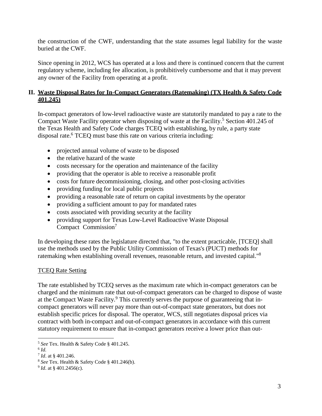the construction of the CWF, understanding that the state assumes legal liability for the waste buried at the CWF.

Since opening in 2012, WCS has operated at a loss and there is continued concern that the current regulatory scheme, including fee allocation, is prohibitively cumbersome and that it may prevent any owner of the Facility from operating at a profit.

# **II. Waste Disposal Rates for In-Compact Generators (Ratemaking) (TX Health & Safety Code 401.245)**

In-compact generators of low-level radioactive waste are statutorily mandated to pay a rate to the Compact Waste Facility operator when disposing of waste at the Facility.<sup>[5](#page-6-0)</sup> Section 401.245 of the Texas Health and Safety Code charges TCEQ with establishing, by rule, a party state disposal rate.<sup>[6](#page-6-1)</sup> TCEQ must base this rate on various criteria including:

- projected annual volume of waste to be disposed
- the relative hazard of the waste
- costs necessary for the operation and maintenance of the facility
- providing that the operator is able to receive a reasonable profit
- costs for future decommissioning, closing, and other post-closing activities
- providing funding for local public projects
- providing a reasonable rate of return on capital investments by the operator
- providing a sufficient amount to pay for mandated rates
- costs associated with providing security at the facility
- providing support for Texas Low-Level Radioactive Waste Disposal Compact Commission[7](#page-6-2)

In developing these rates the legislature directed that, "to the extent practicable, [TCEQ] shall use the methods used by the Public Utility Commission of Texas's (PUCT) methods for ratemaking when establishing overall revenues, reasonable return, and invested capital."[8](#page-6-3)

# TCEQ Rate Setting

The rate established by TCEQ serves as the maximum rate which in-compact generators can be charged and the minimum rate that out-of-compact generators can be charged to dispose of waste at the Compact Waste Facility.<sup>[9](#page-6-4)</sup> This currently serves the purpose of guaranteeing that incompact generators will never pay more than out-of-compact state generators, but does not establish specific prices for disposal. The operator, WCS, still negotiates disposal prices via contract with both in-compact and out-of-compact generators in accordance with this current statutory requirement to ensure that in-compact generators receive a lower price than out-

<span id="page-6-0"></span><sup>5</sup> *See* Tex. Health & Safety Code § 401.245.

<span id="page-6-1"></span><sup>6</sup> *Id.*

<span id="page-6-2"></span><sup>7</sup> *Id*. at § 401.246.

<span id="page-6-3"></span><sup>8</sup> *See* Tex. Health & Safety Code § 401.246(b).

<span id="page-6-4"></span><sup>9</sup> *Id*. at § 401.2456(c).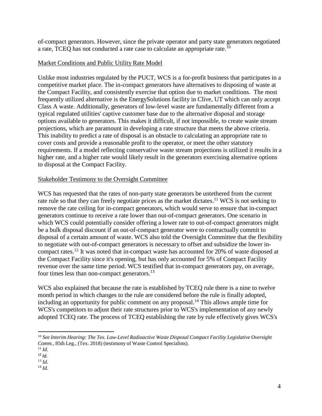of-compact generators. However, since the private operator and party state generators negotiated a rate, TCEQ has not conducted a rate case to calculate an appropriate rate.[10](#page-7-0)

#### Market Conditions and Public Utility Rate Model

Unlike most industries regulated by the PUCT, WCS is a for-profit business that participates in a competitive market place. The in-compact generators have alternatives to disposing of waste at the Compact Facility, and consistently exercise that option due to market conditions. The most frequently utilized alternative is the EnergySolutions facility in Clive, UT which can only accept Class A waste. Additionally, generators of low-level waste are fundamentally different from a typical regulated utilities' captive customer base due to the alternative disposal and storage options available to generators. This makes it difficult, if not impossible, to create waste stream projections, which are paramount in developing a rate structure that meets the above criteria. This inability to predict a rate of disposal is an obstacle to calculating an appropriate rate to cover costs and provide a reasonable profit to the operator, or meet the other statutory requirements. If a model reflecting conservative waste stream projections is utilized it results in a higher rate, and a higher rate would likely result in the generators exercising alternative options to disposal at the Compact Facility.

# Stakeholder Testimony to the Oversight Committee

WCS has requested that the rates of non-party state generators be untethered from the current rate rule so that they can freely negotiate prices as the market dictates.<sup>[11](#page-7-1)</sup> WCS is not seeking to remove the rate ceiling for in-compact generators, which would serve to ensure that in-compact generators continue to receive a rate lower than out-of-compact generators. One scenario in which WCS could potentially consider offering a lower rate to out-of-compact generators might be a bulk disposal discount if an out-of-compact generator were to contractually commit to disposal of a certain amount of waste. WCS also told the Oversight Committee that the flexibility to negotiate with out-of-compact generators is necessary to offset and subsidize the lower incompact rates.[12](#page-7-2) It was noted that in-compact waste has accounted for 20% of waste disposed at the Compact Facility since it's opening, but has only accounted for 5% of Compact Facility revenue over the same time period. WCS testified that in-compact generators pay, on average, four times less than non-compact generators.<sup>[13](#page-7-3)</sup>

WCS also explained that because the rate is established by TCEQ rule there is a nine to twelve month period in which changes to the rule are considered before the rule is finally adopted, including an opportunity for public comment on any proposal.<sup>[14](#page-7-4)</sup> This allows ample time for WCS's competitors to adjust their rate structures prior to WCS's implementation of any newly adopted TCEQ rate. The process of TCEQ establishing the rate by rule effectively gives WCS's

<span id="page-7-0"></span><sup>10</sup> *See Interim Hearing: The Tex. Low-Level Radioactive Waste Disposal Compact Facility Legislative Oversight Comm.,* 85th Leg., (Tex. 2018) (testimony of Waste Control Specialists).

<span id="page-7-1"></span><sup>11</sup> *Id.*

<span id="page-7-2"></span><sup>12</sup> *Id.*

<span id="page-7-3"></span><sup>13</sup> *Id.*

<span id="page-7-4"></span><sup>14</sup> *Id.*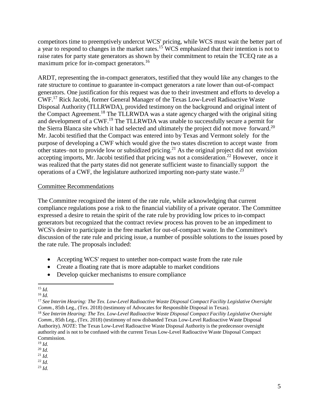competitors time to preemptively undercut WCS' pricing, while WCS must wait the better part of a year to respond to changes in the market rates.[15](#page-8-0) WCS emphasized that their intention is not to raise rates for party state generators as shown by their commitment to retain the TCEQ rate as a maximum price for in-compact generators.<sup>[16](#page-8-1)</sup>

ARDT, representing the in-compact generators, testified that they would like any changes to the rate structure to continue to guarantee in-compact generators a rate lower than out-of-compact generators. One justification for this request was due to their investment and efforts to develop a CWF.[17](#page-8-2) Rick Jacobi, former General Manager of the Texas Low-Level Radioactive Waste Disposal Authority (TLLRWDA), provided testimony on the background and original intent of the Compact Agreement.[18](#page-8-3) The TLLRWDA was a state agency charged with the original siting and development of a CWF.<sup>[19](#page-8-4)</sup> The TLLRWDA was unable to successfully secure a permit for the Sierra Blanca site which it had selected and ultimately the project did not move forward.<sup>[20](#page-8-5)</sup> Mr. Jacobi testified that the Compact was entered into by Texas and Vermont solely for the purpose of developing a CWF which would give the two states discretion to accept waste from other states–not to provide low or subsidized pricing.[21](#page-8-6) As the original project did not envision accepting imports, Mr. Jacobi testified that pricing was not a consideration.<sup>[22](#page-8-7)</sup> However, once it was realized that the party states did not generate sufficient waste to financially support the operations of a CWF, the legislature authorized importing non-party state waste.<sup>[23](#page-8-8)</sup>

#### Committee Recommendations

The Committee recognized the intent of the rate rule, while acknowledging that current compliance regulations pose a risk to the financial viability of a private operator. The Committee expressed a desire to retain the spirit of the rate rule by providing low prices to in-compact generators but recognized that the contract review process has proven to be an impediment to WCS's desire to participate in the free market for out-of-compact waste. In the Committee's discussion of the rate rule and pricing issue, a number of possible solutions to the issues posed by the rate rule. The proposals included:

- Accepting WCS' request to untether non-compact waste from the rate rule
- Create a floating rate that is more adaptable to market conditions
- Develop quicker mechanisms to ensure compliance

<span id="page-8-8"></span><span id="page-8-7"></span><sup>22</sup> *Id.* <sup>23</sup> *Id.*

<span id="page-8-0"></span><sup>15</sup> *Id.*

<span id="page-8-1"></span><sup>16</sup> *Id.*

<span id="page-8-2"></span><sup>17</sup> *See Interim Hearing: The Tex. Low-Level Radioactive Waste Disposal Compact Facility Legislative Oversight Comm.,* 85th Leg., (Tex. 2018) (testimony of Advocates for Responsible Disposal in Texas).

<span id="page-8-3"></span><sup>18</sup> *See Interim Hearing: The Tex. Low-Level Radioactive Waste Disposal Compact Facility Legislative Oversight Comm.,* 85th Leg., (Tex. 2018) (testimony of now disbanded Texas Low-Level Radioactive Waste Disposal Authority). *NOTE*: The Texas Low-Level Radioactive Waste Disposal Authority is the predecessor oversight authority and is not to be confused with the current Texas Low-Level Radioactive Waste Disposal Compact Commission.

<span id="page-8-4"></span><sup>19</sup> *Id.*

<span id="page-8-5"></span><sup>20</sup> *Id.*

<span id="page-8-6"></span><sup>21</sup> *Id.*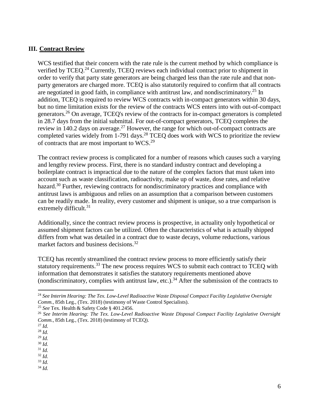#### <span id="page-9-0"></span>**III. Contract Review**

WCS testified that their concern with the rate rule is the current method by which compliance is verified by TCEQ.[24](#page-9-1) Currently, TCEQ reviews each individual contract prior to shipment in order to verify that party state generators are being charged less than the rate rule and that nonparty generators are charged more. TCEQ is also statutorily required to confirm that all contracts are negotiated in good faith, in compliance with antitrust law, and nondiscriminatory.<sup>[25](#page-9-2)</sup> In addition, TCEQ is required to review WCS contracts with in-compact generators within 30 days, but no time limitation exists for the review of the contracts WCS enters into with out-of-compact generators.[26](#page-9-3) On average, TCEQ's review of the contracts for in-compact generators is completed in 28.7 days from the initial submittal. For out-of-compact generators, TCEQ completes the review in 140.2 days on average.<sup>[27](#page-9-4)</sup> However, the range for which out-of-compact contracts are completed varies widely from 1-791 days.<sup>[28](#page-9-5)</sup> TCEQ does work with WCS to prioritize the review of contracts that are most important to WCS.[29](#page-9-6)

The contract review process is complicated for a number of reasons which causes such a varying and lengthy review process. First, there is no standard industry contract and developing a boilerplate contract is impractical due to the nature of the complex factors that must taken into account such as waste classification, radioactivity, make up of waste, dose rates, and relative hazard.<sup>[30](#page-9-7)</sup> Further, reviewing contracts for nondiscriminatory practices and compliance with antitrust laws is ambiguous and relies on an assumption that a comparison between customers can be readily made. In reality, every customer and shipment is unique, so a true comparison is extremely difficult.<sup>[31](#page-9-8)</sup>

Additionally, since the contract review process is prospective, in actuality only hypothetical or assumed shipment factors can be utilized. Often the characteristics of what is actually shipped differs from what was detailed in a contract due to waste decays, volume reductions, various market factors and business decisions.<sup>[32](#page-9-9)</sup>

TCEQ has recently streamlined the contract review process to more efficiently satisfy their statutory requirements.<sup>[33](#page-9-10)</sup> The new process requires WCS to submit each contract to TCEQ with information that demonstrates it satisfies the statutory requirements mentioned above (nondiscriminatory, complies with antitrust law, etc.).<sup>[34](#page-9-11)</sup> After the submission of the contracts to

<span id="page-9-1"></span><sup>24</sup> *See Interim Hearing: The Tex. Low-Level Radioactive Waste Disposal Compact Facility Legislative Oversight Comm.,* 85th Leg., (Tex. 2018) (testimony of Waste Control Specialists).

<span id="page-9-2"></span><sup>25</sup> *See* Tex. Health & Safety Code § 401.2456.

<span id="page-9-3"></span><sup>26</sup>*See Interim Hearing: The Tex. Low-Level Radioactive Waste Disposal Compact Facility Legislative Oversight Comm.,* 85th Leg., (Tex. 2018) (testimony of TCEQ).

<span id="page-9-4"></span><sup>27</sup> *Id.*

<span id="page-9-5"></span><sup>28</sup> *Id.*

<span id="page-9-6"></span><sup>29</sup> *Id.* <sup>30</sup> *Id.*

<span id="page-9-8"></span><span id="page-9-7"></span><sup>31</sup> *Id.*

<span id="page-9-9"></span><sup>32</sup> *Id.*

<span id="page-9-10"></span><sup>33</sup> *Id.*

<span id="page-9-11"></span><sup>34</sup> *Id.*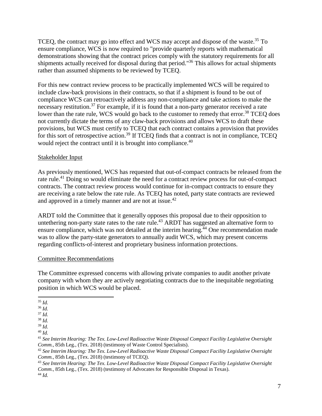TCEQ, the contract may go into effect and WCS may accept and dispose of the waste.<sup>[35](#page-10-0)</sup> To ensure compliance, WCS is now required to "provide quarterly reports with mathematical demonstrations showing that the contract prices comply with the statutory requirements for all shipments actually received for disposal during that period."<sup>[36](#page-10-1)</sup> This allows for actual shipments rather than assumed shipments to be reviewed by TCEQ.

For this new contract review process to be practically implemented WCS will be required to include claw-back provisions in their contracts, so that if a shipment is found to be out of compliance WCS can retroactively address any non-compliance and take actions to make the necessary restitution.[37](#page-10-2) For example, if it is found that a non-party generator received a rate lower than the rate rule, WCS would go back to the customer to remedy that error.<sup>[38](#page-10-3)</sup> TCEQ does not currently dictate the terms of any claw-back provisions and allows WCS to draft these provisions, but WCS must certify to TCEQ that each contract contains a provision that provides for this sort of retrospective action.<sup>[39](#page-10-4)</sup> If TCEQ finds that a contract is not in compliance, TCEQ would reject the contract until it is brought into compliance.<sup>[40](#page-10-5)</sup>

# Stakeholder Input

As previously mentioned, WCS has requested that out-of-compact contracts be released from the rate rule.<sup>[41](#page-10-6)</sup> Doing so would eliminate the need for a contract review process for out-of-compact contracts. The contract review process would continue for in-compact contracts to ensure they are receiving a rate below the rate rule. As TCEQ has noted, party state contracts are reviewed and approved in a timely manner and are not at issue.<sup>[42](#page-10-7)</sup>

ARDT told the Committee that it generally opposes this proposal due to their opposition to untethering non-party state rates to the rate rule.<sup>[43](#page-10-8)</sup> ARDT has suggested an alternative form to ensure compliance, which was not detailed at the interim hearing.<sup>[44](#page-10-9)</sup> One recommendation made was to allow the party-state generators to annually audit WCS, which may present concerns regarding conflicts-of-interest and proprietary business information protections.

# Committee Recommendations

The Committee expressed concerns with allowing private companies to audit another private company with whom they are actively negotiating contracts due to the inequitable negotiating position in which WCS would be placed.

<span id="page-10-0"></span><sup>35</sup> *Id.*

<span id="page-10-1"></span><sup>36</sup> *Id.*

<span id="page-10-2"></span><sup>37</sup> *Id.*

<span id="page-10-3"></span><sup>38</sup> *Id.*

<span id="page-10-4"></span><sup>39</sup> *Id.*

<span id="page-10-5"></span><sup>40</sup> *Id.*

<span id="page-10-6"></span><sup>41</sup> *See Interim Hearing: The Tex. Low-Level Radioactive Waste Disposal Compact Facility Legislative Oversight Comm.,* 85th Leg., (Tex. 2018) (testimony of Waste Control Specialists).

<span id="page-10-7"></span><sup>42</sup> *See Interim Hearing: The Tex. Low-Level Radioactive Waste Disposal Compact Facility Legislative Oversight Comm.,* 85th Leg., (Tex. 2018) (testimony of TCEQ).

<span id="page-10-9"></span><span id="page-10-8"></span><sup>43</sup> *See Interim Hearing: The Tex. Low-Level Radioactive Waste Disposal Compact Facility Legislative Oversight Comm.,* 85th Leg., (Tex. 2018) (testimony of Advocates for Responsible Disposal in Texas). <sup>44</sup> *Id.*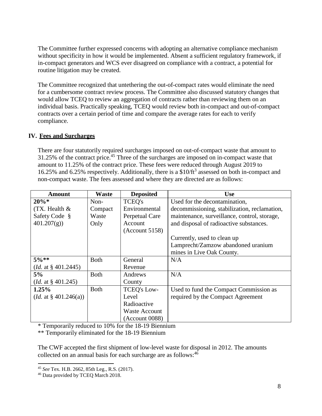The Committee further expressed concerns with adopting an alternative compliance mechanism without specificity in how it would be implemented. Absent a sufficient regulatory framework, if in-compact generators and WCS ever disagreed on compliance with a contract, a potential for routine litigation may be created.

The Committee recognized that untethering the out-of-compact rates would eliminate the need for a cumbersome contract review process. The Committee also discussed statutory changes that would allow TCEQ to review an aggregation of contracts rather than reviewing them on an individual basis. Practically speaking, TCEQ would review both in-compact and out-of-compact contracts over a certain period of time and compare the average rates for each to verify compliance.

# <span id="page-11-0"></span>**IV. Fees and Surcharges**

There are four statutorily required surcharges imposed on out-of-compact waste that amount to 31.25% of the contract price.[45](#page-11-1) Three of the surcharges are imposed on in-compact waste that amount to 11.25% of the contract price. These fees were reduced through August 2019 to 16.25% and 6.25% respectively. Additionally, there is a \$10/ft<sup>3</sup> assessed on both in-compact and non-compact waste. The fees assessed and where they are directed are as follows:

| <b>Amount</b>                             | <b>Waste</b> | <b>Deposited</b>     | <b>Use</b>                                   |  |  |
|-------------------------------------------|--------------|----------------------|----------------------------------------------|--|--|
| $20\%*$                                   | Non-         | TCEO's               | Used for the decontamination,                |  |  |
| (TX. Health $&$                           | Compact      | Environmental        | decommissioning, stabilization, reclamation, |  |  |
| Safety Code §                             | Waste        | Perpetual Care       | maintenance, surveillance, control, storage, |  |  |
| 401.207(g)                                | Only         | Account              | and disposal of radioactive substances.      |  |  |
|                                           |              | (Account 5158)       |                                              |  |  |
|                                           |              |                      | Currently, used to clean up                  |  |  |
|                                           |              |                      | Lamprecht/Zamzow abandoned uranium           |  |  |
|                                           |              |                      | mines in Live Oak County.                    |  |  |
| $5\%**$                                   | <b>Both</b>  | General              | N/A                                          |  |  |
| ( <i>Id.</i> at $\S$ 401.2445)            |              | Revenue              |                                              |  |  |
| 5%                                        | <b>Both</b>  | Andrews              | N/A                                          |  |  |
| ( <i>Id.</i> at $\S$ 401.245)             |              | County               |                                              |  |  |
| 1.25%                                     | <b>Both</b>  | <b>TCEQ's Low-</b>   | Used to fund the Compact Commission as       |  |  |
| ( <i>Id.</i> at $\frac{8}{9}$ 401.246(a)) |              | Level                | required by the Compact Agreement            |  |  |
|                                           |              | Radioactive          |                                              |  |  |
|                                           |              | <b>Waste Account</b> |                                              |  |  |
|                                           |              | (Account 0088)       |                                              |  |  |

\* Temporarily reduced to 10% for the 18-19 Biennium

\*\* Temporarily eliminated for the 18-19 Biennium

The CWF accepted the first shipment of low-level waste for disposal in 2012. The amounts collected on an annual basis for each surcharge are as follows:<sup>[46](#page-11-2)</sup>

<span id="page-11-1"></span><sup>45</sup> *See* Tex. H.B. 2662, 85th Leg., R.S. (2017).

<span id="page-11-2"></span><sup>46</sup> Data provided by TCEQ March 2018.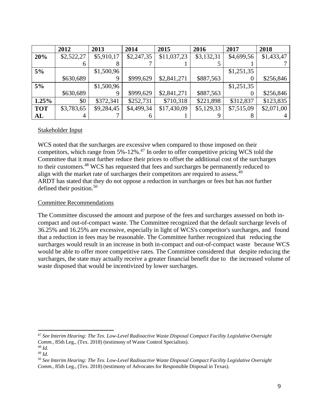|            | 2012       | 2013       | 2014       | 2015        | 2016       | 2017       | 2018       |
|------------|------------|------------|------------|-------------|------------|------------|------------|
| 20%        | \$2,522,27 | \$5,910,17 | \$2,247,35 | \$11,037,23 | \$3,132,31 | \$4,699,56 | \$1,433,47 |
|            |            |            |            |             |            |            |            |
| 5%         |            | \$1,500,96 |            |             |            | \$1,251,35 |            |
|            | \$630,689  |            | \$999,629  | \$2,841,271 | \$887,563  |            | \$256,846  |
| 5%         |            | \$1,500,96 |            |             |            | \$1,251,35 |            |
|            | \$630,689  |            | \$999,629  | \$2,841,271 | \$887,563  |            | \$256,846  |
| 1.25%      | \$0        | \$372,341  | \$252,731  | \$710,318   | \$221,898  | \$312,837  | \$123,835  |
| <b>TOT</b> | \$3,783,65 | \$9,284,45 | \$4,499,34 | \$17,430,09 | \$5,129,33 | \$7,515,09 | \$2,071,00 |
| ${\bf AL}$ |            |            |            |             |            |            |            |

#### Stakeholder Input

WCS noted that the surcharges are excessive when compared to those imposed on their competitors, which range from  $5\% -12\%$ .<sup>[47](#page-12-0)</sup> In order to offer competitive pricing WCS told the Committee that it must further reduce their prices to offset the additional cost of the surcharges to their customers.[48](#page-12-1) WCS has requested that fees and surcharges be permanently reduced to align with the market rate of surcharges their competitors are required to assess.<sup>[49](#page-12-2)</sup> ARDT has stated that they do not oppose a reduction in surcharges or fees but has not further defined their position. $50$ 

#### Committee Recommendations

The Committee discussed the amount and purpose of the fees and surcharges assessed on both incompact and out-of-compact waste. The Committee recognized that the default surcharge levels of 36.25% and 16.25% are excessive, especially in light of WCS's competitor's surcharges, and found that a reduction in fees may be reasonable. The Committee further recognized that reducing the surcharges would result in an increase in both in-compact and out-of-compact waste because WCS would be able to offer more competitive rates. The Committee considered that despite reducing the surcharges, the state may actually receive a greater financial benefit due to the increased volume of waste disposed that would be incentivized by lower surcharges.

<span id="page-12-0"></span><sup>47</sup> *See Interim Hearing: The Tex. Low-Level Radioactive Waste Disposal Compact Facility Legislative Oversight Comm.,* 85th Leg., (Tex. 2018) (testimony of Waste Control Specialists).

<span id="page-12-1"></span><sup>48</sup> *Id.* <sup>49</sup> *Id*.

<span id="page-12-3"></span><span id="page-12-2"></span><sup>50</sup> *See Interim Hearing: The Tex. Low-Level Radioactive Waste Disposal Compact Facility Legislative Oversight Comm.,* 85th Leg., (Tex. 2018) (testimony of Advocates for Responsible Disposal in Texas).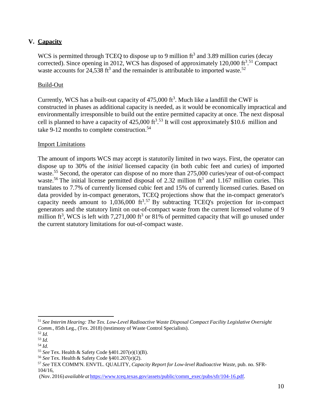# <span id="page-13-0"></span>**V. Capacity**

WCS is permitted through TCEQ to dispose up to 9 million  $ft^3$  and 3.89 million curies (decay corrected). Since opening in 2012, WCS has disposed of approximately 120,000 ft<sup>3</sup>.<sup>[51](#page-13-1)</sup> Compact waste accounts for  $24,538$  ft<sup>3</sup> and the remainder is attributable to imported waste.<sup>[52](#page-13-2)</sup>

#### Build-Out

Currently, WCS has a built-out capacity of  $475,000$  ft<sup>3</sup>. Much like a landfill the CWF is constructed in phases as additional capacity is needed, as it would be economically impractical and environmentally irresponsible to build out the entire permitted capacity at once. The next disposal cell is planned to have a capacity of  $425,000$  ft<sup>3.[53](#page-13-3)</sup> It will cost approximately \$10.6 million and take 9-12 months to complete construction.<sup>[54](#page-13-4)</sup>

#### Import Limitations

The amount of imports WCS may accept is statutorily limited in two ways. First, the operator can dispose up to 30% of the *initial* licensed capacity (in both cubic feet and curies) of imported waste.<sup>[55](#page-13-5)</sup> Second, the operator can dispose of no more than 275,000 curies/year of out-of-compact waste.<sup>[56](#page-13-6)</sup> The initial license permitted disposal of 2.32 million  $ft<sup>3</sup>$  and 1.167 million curies. This translates to 7.7% of currently licensed cubic feet and 15% of currently licensed curies. Based on data provided by in-compact generators, TCEQ projections show that the in-compact generator's capacity needs amount to  $1,036,000$  ft<sup>3.[57](#page-13-7)</sup> By subtracting TCEQ's projection for in-compact generators and the statutory limit on out-of-compact waste from the current licensed volume of 9 million ft<sup>3</sup>, WCS is left with 7,271,000 ft<sup>3</sup> or 81% of permitted capacity that will go unused under the current statutory limitations for out-of-compact waste.

<span id="page-13-1"></span><sup>51</sup> *See Interim Hearing: The Tex. Low-Level Radioactive Waste Disposal Compact Facility Legislative Oversight Comm.,* 85th Leg., (Tex. 2018) (testimony of Waste Control Specialists).

<span id="page-13-2"></span><sup>52</sup> *Id.*

<span id="page-13-3"></span><sup>53</sup> *Id.*

<span id="page-13-4"></span><sup>54</sup> *Id.*

<span id="page-13-5"></span><sup>55</sup> *See* Tex. Health & Safety Code §401.207(e)(1)(B).

<span id="page-13-6"></span><sup>56</sup> *See* Tex. Health & Safety Code §401.207(e)(2).

<span id="page-13-7"></span><sup>57</sup> *See* TEX COMM'N. ENVTL. QUALITY, *Capacity Report for Low-level Radioactive Waste,* pub. no. SFR-104/16,

<sup>(</sup>Nov. 2016) *available at* [https://www.tceq.texas.gov/assets/public/comm\\_exec/pubs/sfr/104-16.pdf.](https://www.tceq.texas.gov/assets/public/comm_exec/pubs/sfr/104-16.pdf)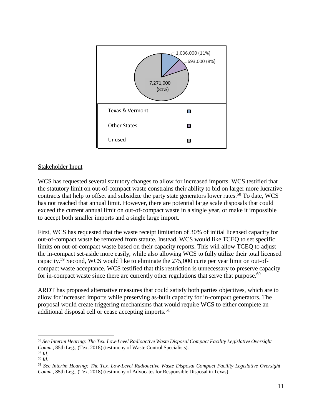

# Stakeholder Input

WCS has requested several statutory changes to allow for increased imports. WCS testified that the statutory limit on out-of-compact waste constrains their ability to bid on larger more lucrative contracts that help to offset and subsidize the party state generators lower rates.<sup>[58](#page-14-0)</sup> To date, WCS has not reached that annual limit. However, there are potential large scale disposals that could exceed the current annual limit on out-of-compact waste in a single year, or make it impossible to accept both smaller imports and a single large import.

First, WCS has requested that the waste receipt limitation of 30% of initial licensed capacity for out-of-compact waste be removed from statute. Instead, WCS would like TCEQ to set specific limits on out-of-compact waste based on their capacity reports. This will allow TCEQ to adjust the in-compact set-aside more easily, while also allowing WCS to fully utilize their total licensed capacity[.59](#page-14-1) Second, WCS would like to eliminate the 275,000 curie per year limit on out-ofcompact waste acceptance. WCS testified that this restriction is unnecessary to preserve capacity for in-compact waste since there are currently other regulations that serve that purpose.<sup>60</sup>

ARDT has proposed alternative measures that could satisfy both parties objectives, which are to allow for increased imports while preserving as-built capacity for in-compact generators. The proposal would create triggering mechanisms that would require WCS to either complete an additional disposal cell or cease accepting imports.<sup>[61](#page-14-3)</sup>

<span id="page-14-0"></span><sup>58</sup> *See Interim Hearing: The Tex. Low-Level Radioactive Waste Disposal Compact Facility Legislative Oversight Comm.,* 85th Leg., (Tex. 2018) (testimony of Waste Control Specialists). <sup>59</sup> *Id.*

<span id="page-14-2"></span><span id="page-14-1"></span><sup>60</sup> *Id.*

<span id="page-14-3"></span><sup>61</sup>*See Interim Hearing: The Tex. Low-Level Radioactive Waste Disposal Compact Facility Legislative Oversight Comm.,* 85th Leg., (Tex. 2018) (testimony of Advocates for Responsible Disposal in Texas).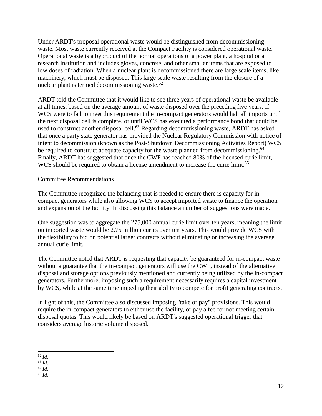Under ARDT's proposal operational waste would be distinguished from decommissioning waste. Most waste currently received at the Compact Facility is considered operational waste. Operational waste is a byproduct of the normal operations of a power plant, a hospital or a research institution and includes gloves, concrete, and other smaller items that are exposed to low doses of radiation. When a nuclear plant is decommissioned there are large scale items, like machinery, which must be disposed. This large scale waste resulting from the closure of a nuclear plant is termed decommissioning waste. $62$ 

ARDT told the Committee that it would like to see three years of operational waste be available at all times, based on the average amount of waste disposed over the preceding five years. If WCS were to fail to meet this requirement the in-compact generators would halt all imports until the next disposal cell is complete, or until WCS has executed a performance bond that could be used to construct another disposal cell.<sup>[63](#page-15-1)</sup> Regarding decommissioning waste, ARDT has asked that once a party state generator has provided the Nuclear Regulatory Commission with notice of intent to decommission (known as the Post-Shutdown Decommissioning Activities Report) WCS be required to construct adequate capacity for the waste planned from decommissioning.<sup>[64](#page-15-2)</sup> Finally, ARDT has suggested that once the CWF has reached 80% of the licensed curie limit, WCS should be required to obtain a license amendment to increase the curie limit.<sup>[65](#page-15-3)</sup>

#### Committee Recommendations

The Committee recognized the balancing that is needed to ensure there is capacity for incompact generators while also allowing WCS to accept imported waste to finance the operation and expansion of the facility. In discussing this balance a number of suggestions were made.

One suggestion was to aggregate the 275,000 annual curie limit over ten years, meaning the limit on imported waste would be 2.75 million curies over ten years. This would provide WCS with the flexibility to bid on potential larger contracts without eliminating or increasing the average annual curie limit.

The Committee noted that ARDT is requesting that capacity be guaranteed for in-compact waste without a guarantee that the in-compact generators will use the CWF, instead of the alternative disposal and storage options previously mentioned and currently being utilized by the in-compact generators. Furthermore, imposing such a requirement necessarily requires a capital investment by WCS, while at the same time impeding their ability to compete for profit generating contracts.

In light of this, the Committee also discussed imposing "take or pay" provisions. This would require the in-compact generators to either use the facility, or pay a fee for not meeting certain disposal quotas. This would likely be based on ARDT's suggested operational trigger that considers average historic volume disposed.

<span id="page-15-3"></span><sup>65</sup> *Id.*

<span id="page-15-0"></span><sup>62</sup> *Id.*

<span id="page-15-1"></span><sup>63</sup> *Id.*

<span id="page-15-2"></span><sup>64</sup> *Id.*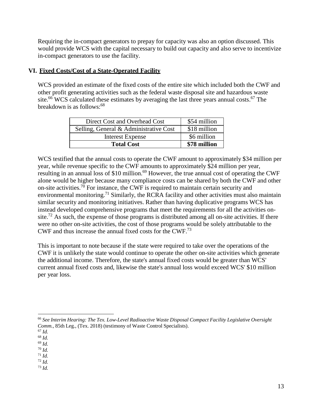Requiring the in-compact generators to prepay for capacity was also an option discussed. This would provide WCS with the capital necessary to build out capacity and also serve to incentivize in-compact generators to use the facility.

# <span id="page-16-0"></span>**VI. Fixed Costs/Cost of a State-Operated Facility**

WCS provided an estimate of the fixed costs of the entire site which included both the CWF and other profit generating activities such as the federal waste disposal site and hazardous waste site.<sup>[66](#page-16-1)</sup> WCS calculated these estimates by averaging the last three years annual costs.<sup>[67](#page-16-2)</sup> The breakdown is as follows:  $68$ 

| Direct Cost and Overhead Cost          | \$54 million |
|----------------------------------------|--------------|
| Selling, General & Administrative Cost | \$18 million |
| <b>Interest Expense</b>                | \$6 million  |
| <b>Total Cost</b>                      | \$78 million |

WCS testified that the annual costs to operate the CWF amount to approximately \$34 million per year, while revenue specific to the CWF amounts to approximately \$24 million per year, resulting in an annual loss of \$10 million.<sup>[69](#page-16-4)</sup> However, the true annual cost of operating the CWF alone would be higher because many compliance costs can be shared by both the CWF and other on-site activities.<sup>[70](#page-16-5)</sup> For instance, the CWF is required to maintain certain security and environmental monitoring.[71](#page-16-6) Similarly, the RCRA facility and other activities must also maintain similar security and monitoring initiatives. Rather than having duplicative programs WCS has instead developed comprehensive programs that meet the requirements for all the activities on-site.<sup>[72](#page-16-7)</sup> As such, the expense of those programs is distributed among all on-site activities. If there were no other on-site activities, the cost of those programs would be solely attributable to the CWF and thus increase the annual fixed costs for the CWF.[73](#page-16-8)

This is important to note because if the state were required to take over the operations of the CWF it is unlikely the state would continue to operate the other on-site activities which generate the additional income. Therefore, the state's annual fixed costs would be greater than WCS' current annual fixed costs and, likewise the state's annual loss would exceed WCS' \$10 million per year loss.

<span id="page-16-1"></span><sup>66</sup> *See Interim Hearing: The Tex. Low-Level Radioactive Waste Disposal Compact Facility Legislative Oversight Comm.,* 85th Leg., (Tex. 2018) (testimony of Waste Control Specialists).

<span id="page-16-2"></span><sup>67</sup> *Id.*

<span id="page-16-3"></span><sup>68</sup> *Id.*

<span id="page-16-4"></span><sup>69</sup> *Id.*

<span id="page-16-5"></span><sup>70</sup> *Id.* <sup>71</sup> *Id.*

<span id="page-16-7"></span><span id="page-16-6"></span><sup>72</sup> *Id.*

<span id="page-16-8"></span><sup>73</sup> *Id.*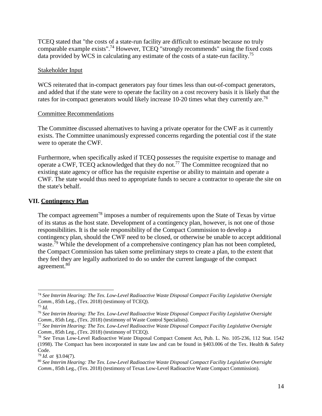TCEQ stated that "the costs of a state-run facility are difficult to estimate because no truly comparable example exists".[74](#page-17-1) However, TCEQ "strongly recommends" using the fixed costs data provided by WCS in calculating any estimate of the costs of a state-run facility.[75](#page-17-2)

#### Stakeholder Input

WCS reiterated that in-compact generators pay four times less than out-of-compact generators, and added that if the state were to operate the facility on a cost recovery basis it is likely that the rates for in-compact generators would likely increase 10-20 times what they currently are.<sup>[76](#page-17-3)</sup>

#### Committee Recommendations

The Committee discussed alternatives to having a private operator for the CWF as it currently exists. The Committee unanimously expressed concerns regarding the potential cost if the state were to operate the CWF.

Furthermore, when specifically asked if TCEQ possesses the requisite expertise to manage and operate a CWF, TCEQ acknowledged that they do not.<sup>[77](#page-17-4)</sup> The Committee recognized that no existing state agency or office has the requisite expertise or ability to maintain and operate a CWF. The state would thus need to appropriate funds to secure a contractor to operate the site on the state's behalf.

# <span id="page-17-0"></span>**VII. Contingency Plan**

The compact agreement<sup>[78](#page-17-5)</sup> imposes a number of requirements upon the State of Texas by virtue of its status as the host state. Development of a contingency plan, however, is not one of those responsibilities. It is the sole responsibility of the Compact Commission to develop a contingency plan, should the CWF need to be closed, or otherwise be unable to accept additional waste.<sup>[79](#page-17-6)</sup> While the development of a comprehensive contingency plan has not been completed, the Compact Commission has taken some preliminary steps to create a plan, to the extent that they feel they are legally authorized to do so under the current language of the compact agreement.[80](#page-17-7)

<span id="page-17-1"></span><sup>74</sup> *See Interim Hearing: The Tex. Low-Level Radioactive Waste Disposal Compact Facility Legislative Oversight Comm.,* 85th Leg., (Tex. 2018) (testimony of TCEQ).

<span id="page-17-2"></span><sup>75</sup> *Id.*

<span id="page-17-3"></span><sup>76</sup> *See Interim Hearing: The Tex. Low-Level Radioactive Waste Disposal Compact Facility Legislative Oversight Comm.,* 85th Leg., (Tex. 2018) (testimony of Waste Control Specialists).

<span id="page-17-4"></span><sup>77</sup> *See Interim Hearing: The Tex. Low-Level Radioactive Waste Disposal Compact Facility Legislative Oversight Comm.,* 85th Leg., (Tex. 2018) (testimony of TCEQ).

<span id="page-17-5"></span><sup>78</sup> *See* Texas Low-Level Radioactive Waste Disposal Compact Consent Act, Pub. L. No. 105-236, 112 Stat. 1542 (1998). The Compact has been incorporated in state law and can be found in §403.006 of the Tex. Health & Safety Code.

<span id="page-17-6"></span><sup>79</sup> *Id. at* §3.04(7).

<span id="page-17-7"></span><sup>80</sup> *See Interim Hearing: The Tex. Low-Level Radioactive Waste Disposal Compact Facility Legislative Oversight Comm.,* 85th Leg., (Tex. 2018) (testimony of Texas Low-Level Radioactive Waste Compact Commission).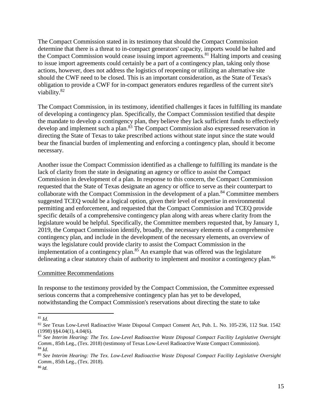The Compact Commission stated in its testimony that should the Compact Commission determine that there is a threat to in-compact generators' capacity, imports would be halted and the Compact Commission would cease issuing import agreements.<sup>[81](#page-18-0)</sup> Halting imports and ceasing to issue import agreements could certainly be a part of a contingency plan, taking only those actions, however, does not address the logistics of reopening or utilizing an alternative site should the CWF need to be closed. This is an important consideration, as the State of Texas's obligation to provide a CWF for in-compact generators endures regardless of the current site's viability.[82](#page-18-1)

The Compact Commission, in its testimony, identified challenges it faces in fulfilling its mandate of developing a contingency plan. Specifically, the Compact Commission testified that despite the mandate to develop a contingency plan, they believe they lack sufficient funds to effectively develop and implement such a plan.[83](#page-18-2) The Compact Commission also expressed reservation in directing the State of Texas to take prescribed actions without state input since the state would bear the financial burden of implementing and enforcing a contingency plan, should it become necessary.

Another issue the Compact Commission identified as a challenge to fulfilling its mandate is the lack of clarity from the state in designating an agency or office to assist the Compact Commission in development of a plan. In response to this concern, the Compact Commission requested that the State of Texas designate an agency or office to serve as their counterpart to collaborate with the Compact Commission in the development of a plan.<sup>[84](#page-18-3)</sup> Committee members suggested TCEQ would be a logical option, given their level of expertise in environmental permitting and enforcement, and requested that the Compact Commission and TCEQ provide specific details of a comprehensive contingency plan along with areas where clarity from the legislature would be helpful. Specifically, the Committee members requested that, by January 1, 2019, the Compact Commission identify, broadly, the necessary elements of a comprehensive contingency plan, and include in the development of the necessary elements, an overview of ways the legislature could provide clarity to assist the Compact Commission in the implementation of a contingency plan. $85$  An example that was offered was the legislature delineating a clear statutory chain of authority to implement and monitor a contingency plan.<sup>[86](#page-18-5)</sup>

#### Committee Recommendations

In response to the testimony provided by the Compact Commission, the Committee expressed serious concerns that a comprehensive contingency plan has yet to be developed, notwithstanding the Compact Commission's reservations about directing the state to take

<span id="page-18-5"></span><sup>86</sup> *Id.*

<span id="page-18-0"></span><sup>81</sup> *Id.*

<span id="page-18-1"></span><sup>82</sup> *See* Texas Low-Level Radioactive Waste Disposal Compact Consent Act, Pub. L. No. 105-236, 112 Stat. 1542 (1998) §§4.04(1), 4.04(6).

<span id="page-18-2"></span><sup>83</sup>*See Interim Hearing: The Tex. Low-Level Radioactive Waste Disposal Compact Facility Legislative Oversight Comm.,* 85th Leg., (Tex. 2018) (testimony of Texas Low-Level Radioactive Waste Compact Commission). <sup>84</sup> *Id.*

<span id="page-18-4"></span><span id="page-18-3"></span><sup>85</sup> *See Interim Hearing: The Tex. Low-Level Radioactive Waste Disposal Compact Facility Legislative Oversight Comm.,* 85th Leg., (Tex. 2018).